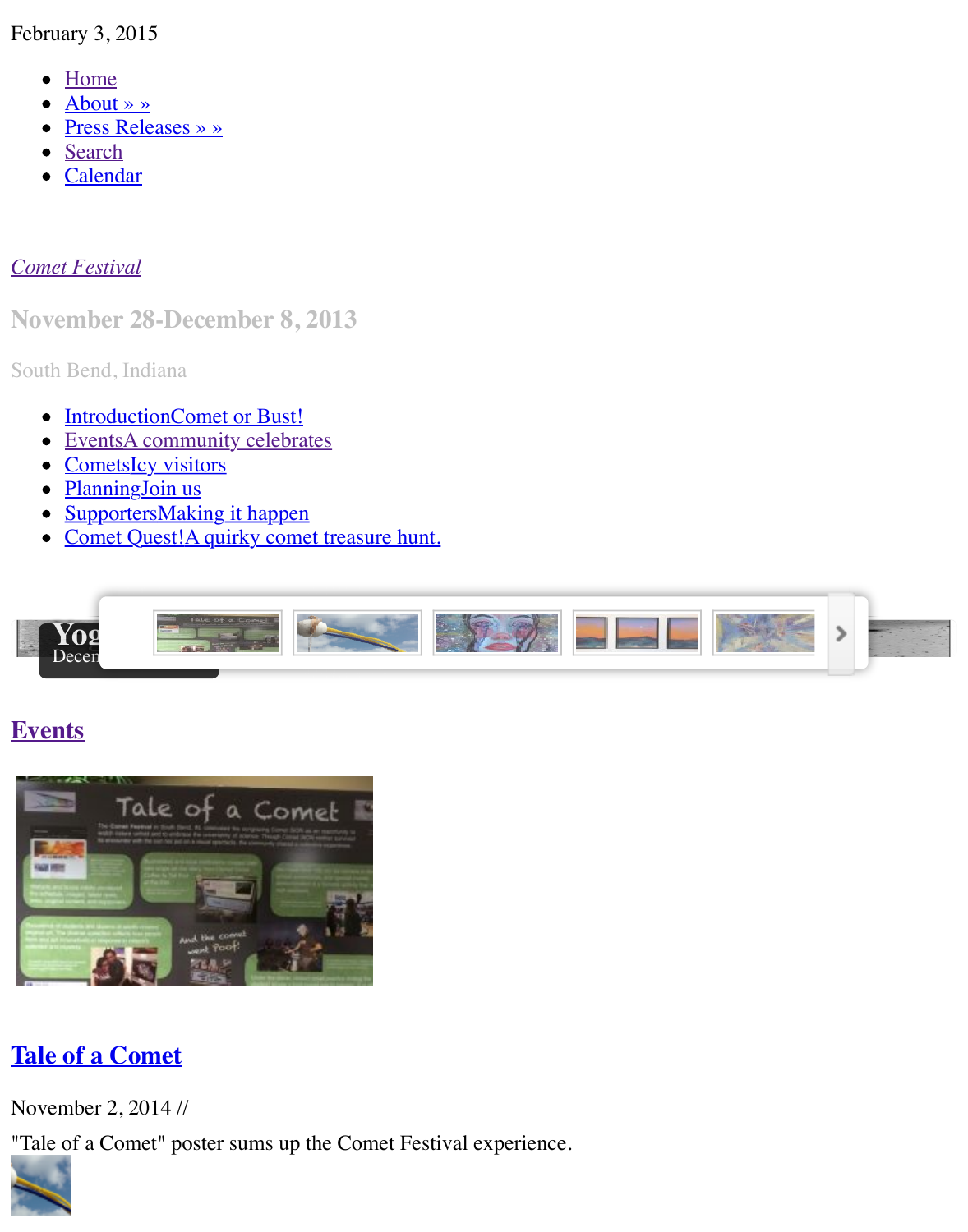Calendar  $\bullet$ 

#### *Come[t Festival](http://www.cometfestival.com/index.php/about/)*

**Nov[ember](http://www.cometfestival.com/index.php/search/) [2](http://www.cometfestival.com/index.php/calendar/)8-December 8, 2013**

South Bend, Indiana

- IntroductionComet or Bust!
- [EventsA](http://www.cometfestival.com/) community celebrates
- CometsIcy visitors
- PlanningJoin us
- SupportersMaking it happen  $\bullet$
- Comet Quest!A quirky comet treasure hunt.



#### **Events**



## **Tale of a Comet**

November 2, 2014 //

["Tale of a Comet" poster sums up the Com](http://www.cometfestival.com/index.php/events/tale/)et Festival experience.

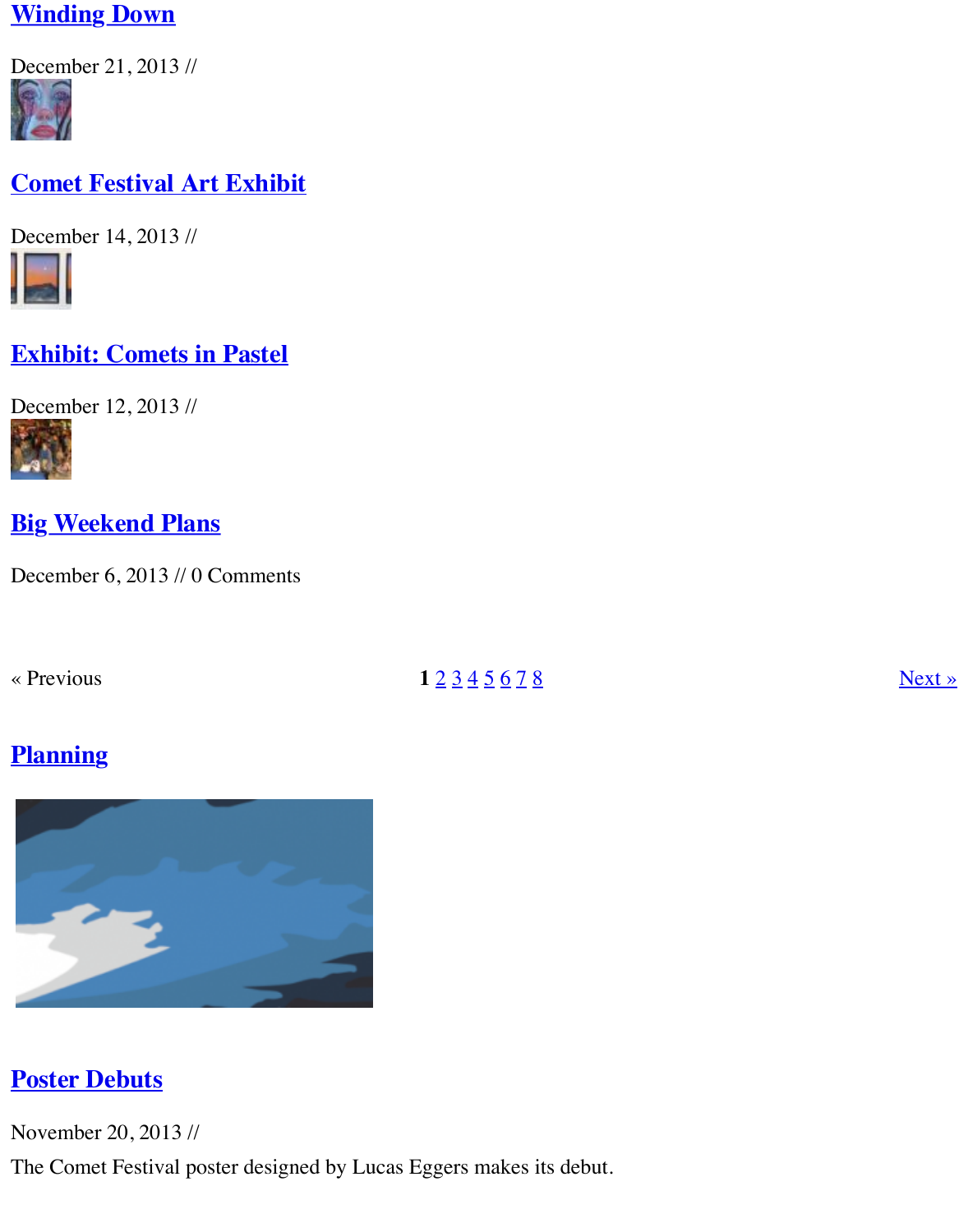### **[Comet Festival](http://www.cometfestival.com/index.php/events/winding-down/) Art Exhibit**

[Decem](http://www.cometfestival.com/index.php/events/comet-festival-art-exhibit/)ber 14, 2013 //



# **[Exhibit: Comets in Pastel](http://www.cometfestival.com/index.php/events/comet-festival-art-exhibit/)**

[Decem](http://www.cometfestival.com/index.php/events/exhibit-comets-pastel/)ber 12, 2013 //



**[Big Weekend Plans](http://www.cometfestival.com/index.php/events/exhibit-comets-pastel/)**

[Decem](http://www.cometfestival.com/index.php/events/big-weekend-plans/)ber 6, 2013 // 0 Comments

[« Previous](http://www.cometfestival.com/index.php/events/big-weekend-plans/) **1**  $\frac{2}{3} \frac{3}{4} \frac{5}{5} \frac{6}{7} \frac{8}{8}$ 

# **Planning**



# **Poster Debuts**

November 20, 2013 //

[The Comet Festival poster designed by Luc](http://www.cometfestival.com/index.php/planning/poster-debuts/)as Eggers makes its debut.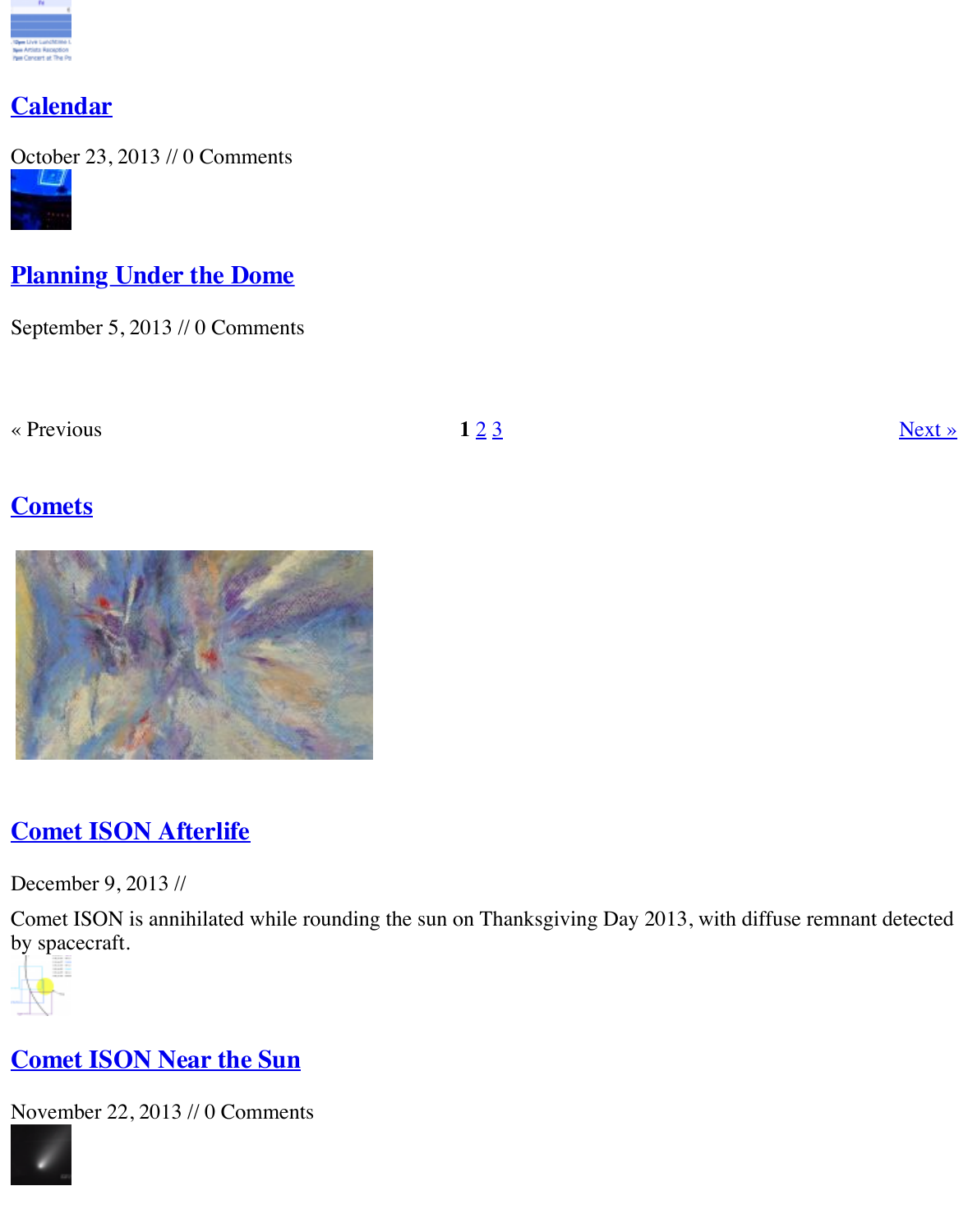

# **[Planning](http://www.cometfestival.com/index.php/planning/calendar/) Under the Dome**

[Septem](http://www.cometfestival.com/index.php/planning/under-dome/)ber 5, 2013 // 0 Comments

[« Previous](http://www.cometfestival.com/index.php/planning/under-dome/)  $123$ 

# **Comets**



# **Comet ISON Afterlife**

December 9, 2013 //

[Comet ISON is annihilated while rounding](http://www.cometfestival.com/index.php/comets/comet-ison-afterlife/) the sun on Thanksgiving Day 2013, with diffuse re by spacecraft.



## **Comet ISON Near the Sun**

[Novem](http://www.cometfestival.com/index.php/comets/comet-ison-near-sun/)ber 22, 2013 // 0 Comments

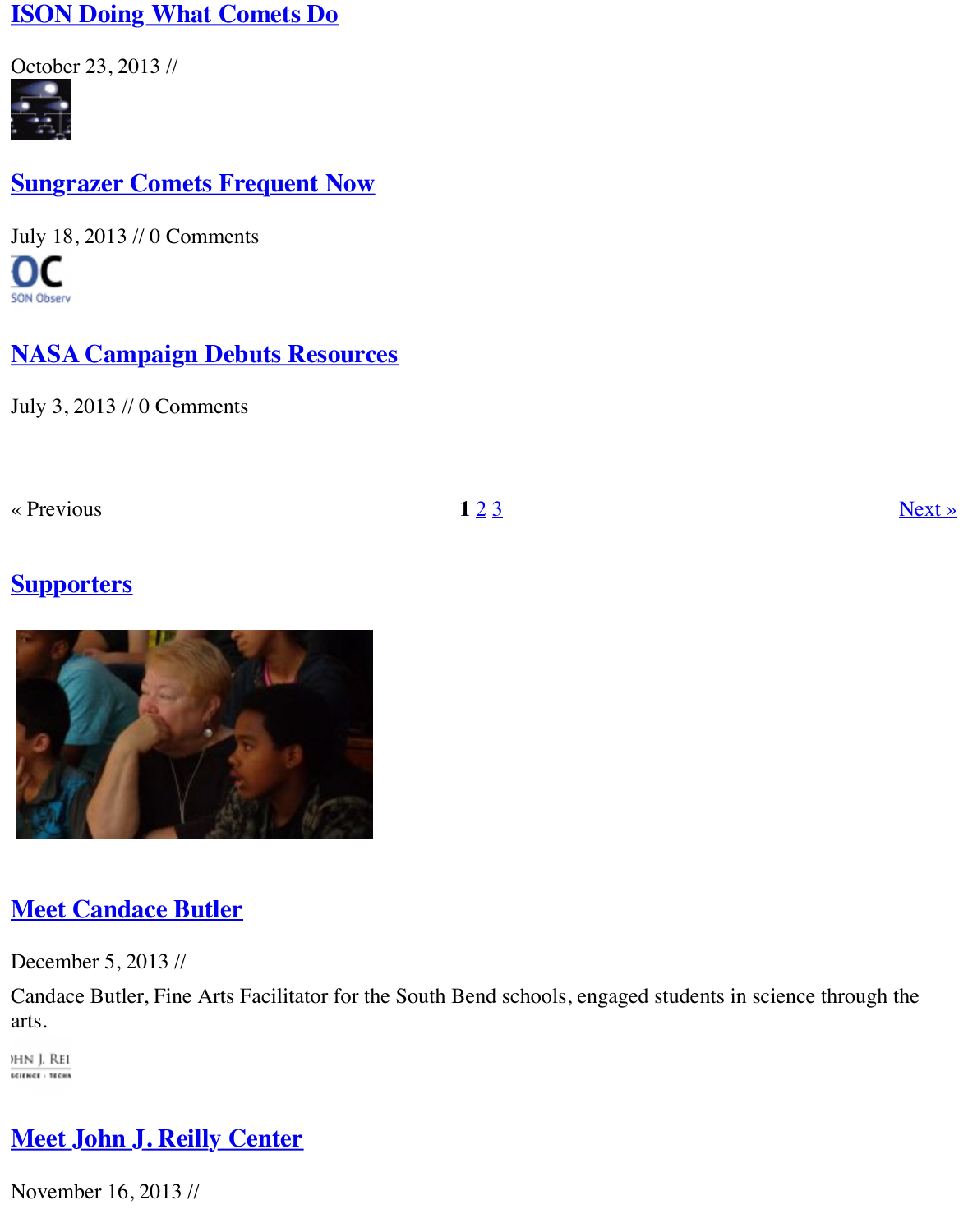#### **[Sungrazer Comets Frequent N](http://www.cometfestival.com/index.php/comets/ison-doing-what-comets-do/)ow**

[July 18](http://www.cometfestival.com/index.php/comets/sungrazer-comets-rising/), 2013 // 0 Comments nc

# **[NASA Campaign Debuts Resourc](http://www.cometfestival.com/index.php/comets/sungrazer-comets-rising/)es**

[July 3,](http://www.cometfestival.com/index.php/comets/nasa-campaign-debuts-resources/) 2013 // 0 Comments

[« Previous](http://www.cometfestival.com/index.php/comets/nasa-campaign-debuts-resources/)  $123$ 

## **Supporters**



### **Meet Candace Butler**

December 5, 2013 //

[Candace Butler, Fine Arts Facilitator for th](http://www.cometfestival.com/index.php/supporters/meet-candace-butler/)e South Bend schools, engaged students in science arts.

)HN J. Rei **SCIENCE - TECHN** 

# **Meet John J. Reilly Center**

[Novem](http://www.cometfestival.com/index.php/supporters/meet-reilly-center/)ber 16, 2013 //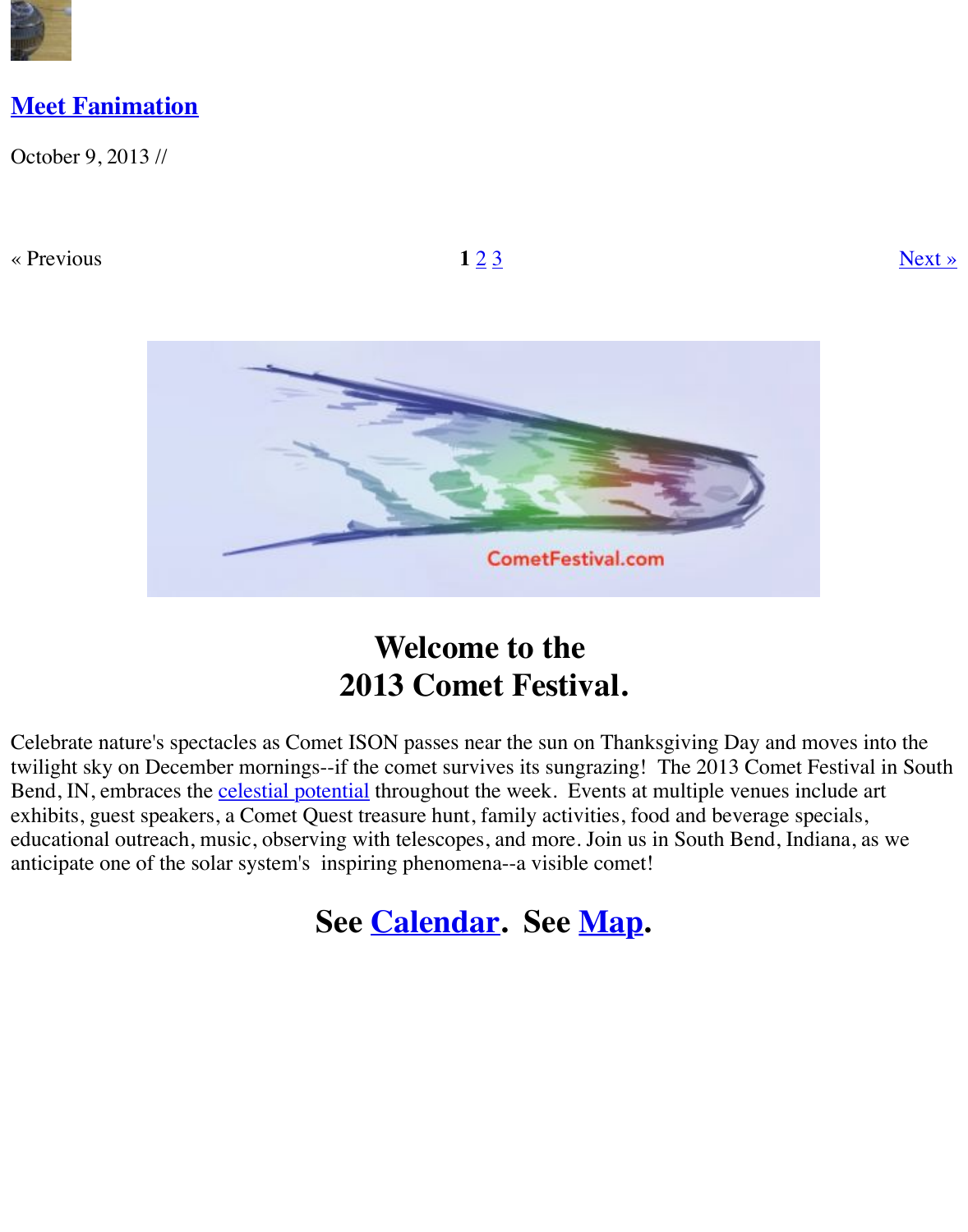[« Previous](http://www.cometfestival.com/index.php/supporters/meet-fanimation/)  $123$ 



# **Welcome to the 2013 Comet Festival.**

Celebrate nature's spectacles as Comet ISON passes near the sun on Thanksgiving Day and moves twilight sky on December mornings--if the comet survives its sungrazing! The 2013 Comet Found Bend, IN, embraces the **celestial potential** throughout the week. Events at multiple venues inc exhibits, guest speakers, a Comet Quest treasure hunt, family activities, food and beverage spe educational outreach, music, observing with telescopes, and more. Join us in South Bend, Indi anticipate one of the solar system's inspiring phenomena--a visible comet!

# **See Calendar. See Map.**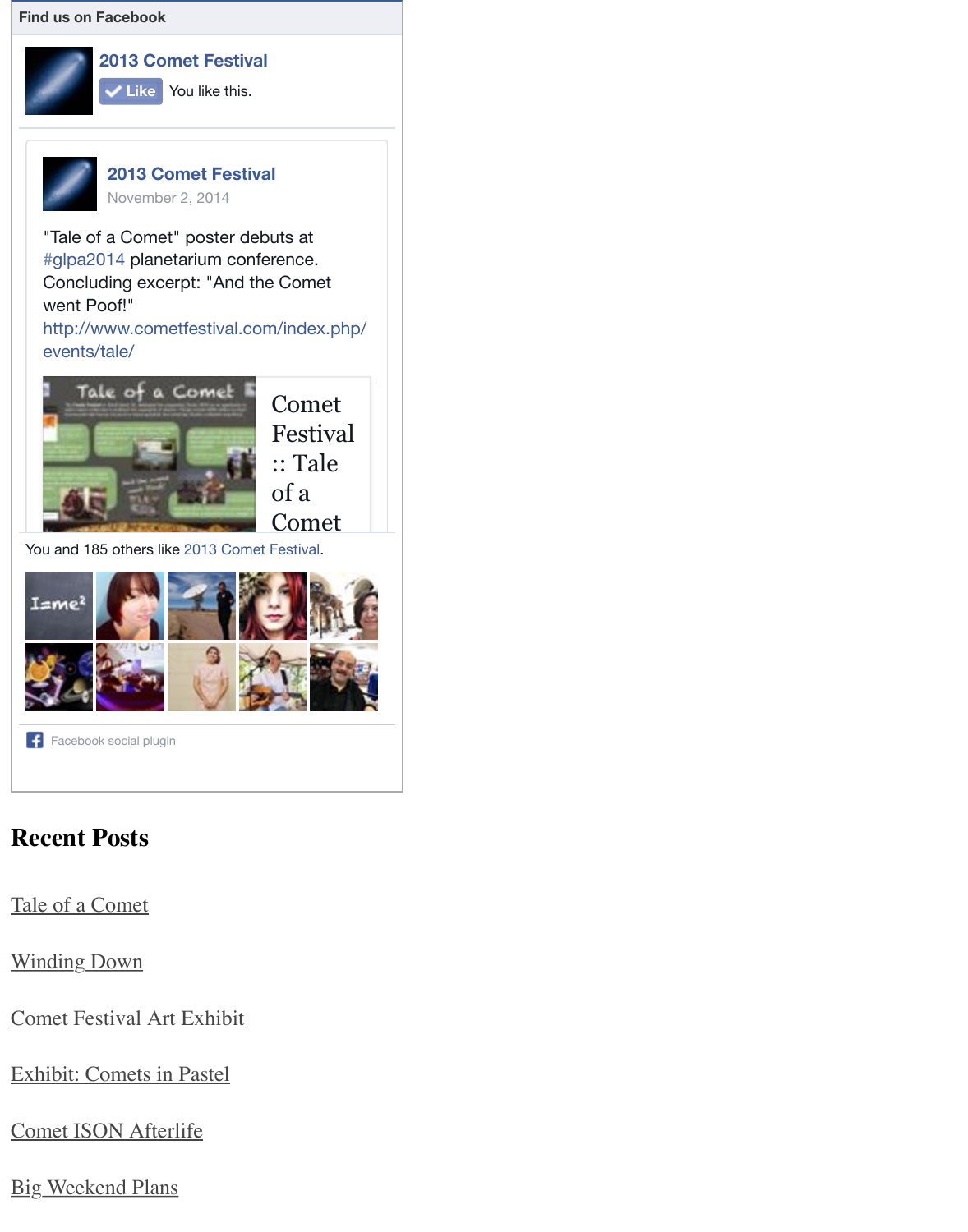

["Tale of a Comet" poster deb](https://www.facebook.com/pages/2013-Comet-Festival/281597451975282)uts at #glpa2014 planetarium conference. Concluding excerpt: "And the Comet went Poof!"

http://w[ww.cometfestival.com](https://www.facebook.com/pages/2013-Comet-Festival/281597451975282?fref=nf)/index.php/ [events/](https://www.facebook.com/pages/2013-Comet-Festival/281597451975282)t[ale/](https://www.facebook.com/permalink.php?story_fbid=564280343706990&id=281597451975282)



Yo[u and 185 others like 2013 Comet Festival.](http://l.facebook.com/l.php?u=http%3A%2F%2Fwww.cometfestival.com%2Findex.php%2Fevents%2Ftale%2F&h=uAQE2DlXmAQHWMU9g53RoUwLHYYB7dfmoA4we4AJG1rbRUQ&enc=AZMyNSZbA1i4slmLGgAt3IcXAk63jBO6KU_wm3hAv8vDqMW1GeMSmgyLUiFNXpddb4ZW1ympgALU1L6XO0HQ8KWMK-E0b2eA91bCK3kTnVuUoVnxniMcm-yyBUNMFWqRq-ogzfOfB0auMjw6Becg7yHSlHg8E2ALk6DKe5WyJrG_sA&s=1)



[Facebo](https://www.facebook.com/chuck.bueter)[ok social plug](https://www.facebook.com/hurricaneerica)[in](https://www.facebook.com/kris.mccall.75)

## **[Recent](https://www.facebook.com/slshanks) [Posts](https://www.facebook.com/andrew.elegante)**

T[ale of a Comet](https://www.facebook.com/help/?page=209089222464503)

Winding Down

Comet Festival Art Exhibit

[Exhibit: Comets in Pastel](http://www.cometfestival.com/index.php/events/tale/)

[Comet ISON Afterlife](http://www.cometfestival.com/index.php/events/winding-down/)

**[Big Weekend Plans](http://www.cometfestival.com/index.php/events/comet-festival-art-exhibit/)**